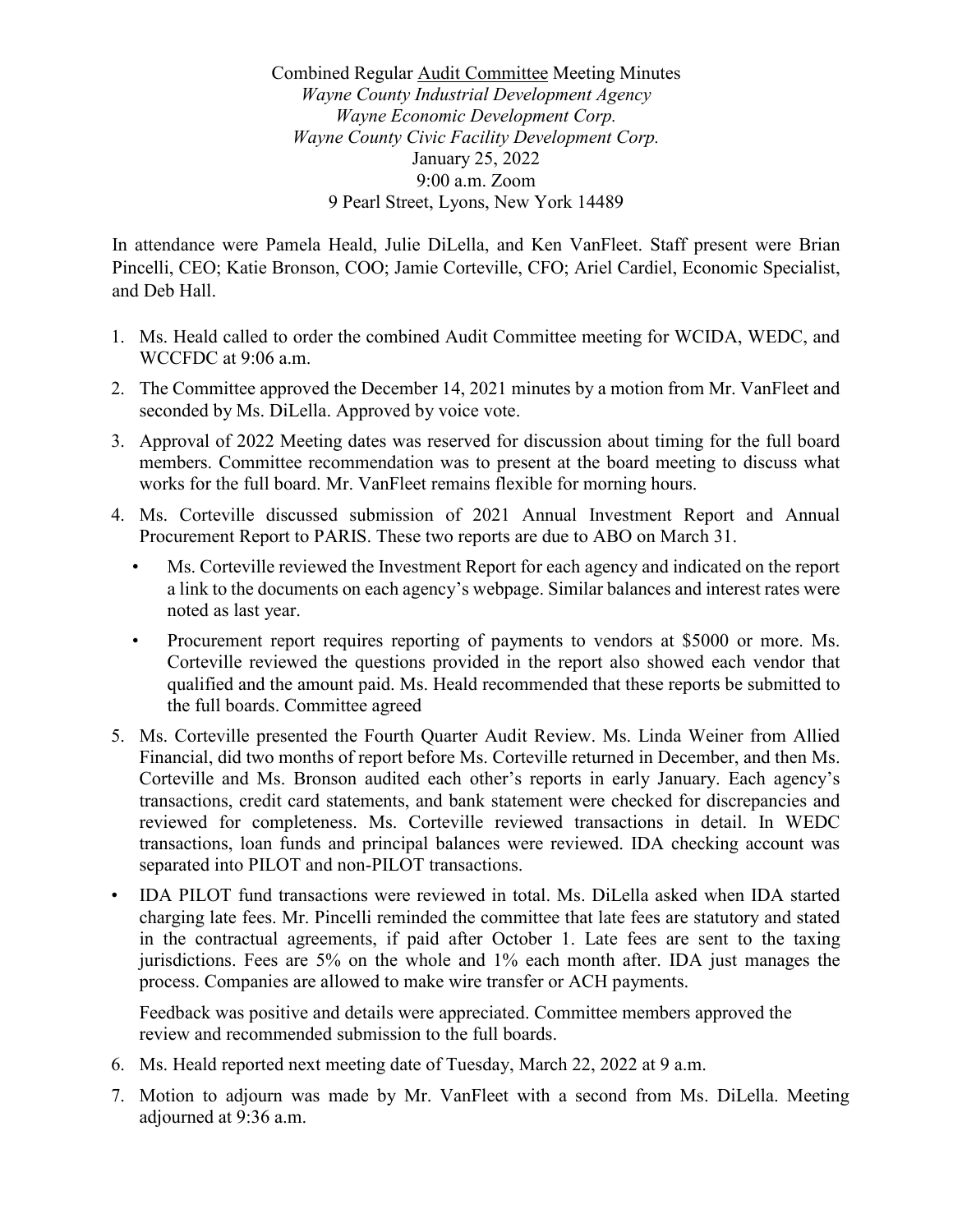Combined Regular Audit Committee Meeting Minutes *Wayne County Industrial Development Agency Wayne Economic Development Corp. Wayne County Civic Facility Development Corp.* January 25, 2022 9:00 a.m. Zoom 9 Pearl Street, Lyons, New York 14489

In attendance were Pamela Heald, Julie DiLella, and Ken VanFleet. Staff present were Brian Pincelli, CEO; Katie Bronson, COO; Jamie Corteville, CFO; Ariel Cardiel, Economic Specialist, and Deb Hall.

- 1. Ms. Heald called to order the combined Audit Committee meeting for WCIDA, WEDC, and WCCFDC at 9:06 a.m.
- 2. The Committee approved the December 14, 2021 minutes by a motion from Mr. VanFleet and seconded by Ms. DiLella. Approved by voice vote.
- 3. Approval of 2022 Meeting dates was reserved for discussion about timing for the full board members. Committee recommendation was to present at the board meeting to discuss what works for the full board. Mr. VanFleet remains flexible for morning hours.
- 4. Ms. Corteville discussed submission of 2021 Annual Investment Report and Annual Procurement Report to PARIS. These two reports are due to ABO on March 31.
	- Ms. Corteville reviewed the Investment Report for each agency and indicated on the report a link to the documents on each agency's webpage. Similar balances and interest rates were noted as last year.
	- Procurement report requires reporting of payments to vendors at \$5000 or more. Ms. Corteville reviewed the questions provided in the report also showed each vendor that qualified and the amount paid. Ms. Heald recommended that these reports be submitted to the full boards. Committee agreed
- 5. Ms. Corteville presented the Fourth Quarter Audit Review. Ms. Linda Weiner from Allied Financial, did two months of report before Ms. Corteville returned in December, and then Ms. Corteville and Ms. Bronson audited each other's reports in early January. Each agency's transactions, credit card statements, and bank statement were checked for discrepancies and reviewed for completeness. Ms. Corteville reviewed transactions in detail. In WEDC transactions, loan funds and principal balances were reviewed. IDA checking account was separated into PILOT and non-PILOT transactions.
- IDA PILOT fund transactions were reviewed in total. Ms. DiLella asked when IDA started charging late fees. Mr. Pincelli reminded the committee that late fees are statutory and stated in the contractual agreements, if paid after October 1. Late fees are sent to the taxing jurisdictions. Fees are 5% on the whole and 1% each month after. IDA just manages the process. Companies are allowed to make wire transfer or ACH payments.

Feedback was positive and details were appreciated. Committee members approved the review and recommended submission to the full boards.

- 6. Ms. Heald reported next meeting date of Tuesday, March 22, 2022 at 9 a.m.
- 7. Motion to adjourn was made by Mr. VanFleet with a second from Ms. DiLella. Meeting adjourned at 9:36 a.m.